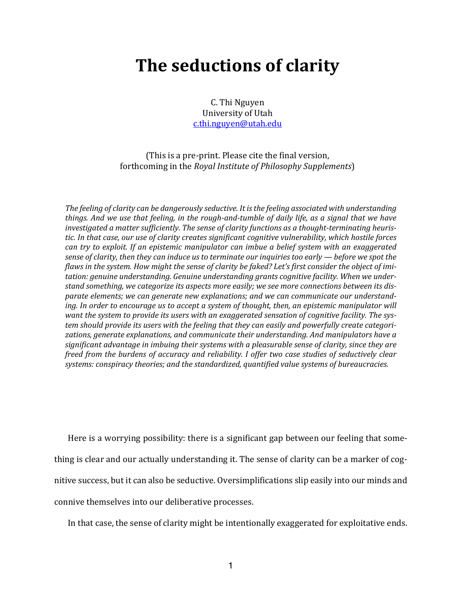# **The seductions of clarity**

C. Thi Nguyen University of Utah c.thi.nguyen@utah.edu

(This is a pre-print. Please cite the final version, forthcoming in the *Royal Institute of Philosophy Supplements*)

The feeling of clarity can be dangerously seductive. It is the feeling associated with understanding *things. And we use that feeling, in the rough-and-tumble of daily life, as a signal that we have* investigated a matter sufficiently. The sense of clarity functions as a thought-terminating heuristic. In that case, our use of clarity creates significant cognitive vulnerability, which hostile forces *can try to exploit.* If an epistemic manipulator can imbue a belief system with an exaggerated *sense of clarity, then they can induce us to terminate our inquiries too early — before we spot the flaws* in the system. How might the sense of clarity be faked? Let's first consider the object of imitation: genuine understanding. Genuine understanding grants cognitive facility. When we understand something, we categorize its aspects more easily; we see more connections between its disparate elements; we can generate new explanations; and we can communicate our understand*ing.* In order to encourage us to accept a system of thought, then, an epistemic manipulator will want the system to provide its users with an exaggerated sensation of cognitive facility. The system should provide its users with the feeling that they can easily and powerfully create categorizations, generate explanations, and communicate their understanding. And manipulators have a significant advantage in imbuing their systems with a pleasurable sense of clarity, since they are *freed from the burdens of accuracy and reliability. I offer two case studies of seductively clear* systems: conspiracy theories; and the standardized, quantified value systems of bureaucracies.

Here is a worrying possibility: there is a significant gap between our feeling that something is clear and our actually understanding it. The sense of clarity can be a marker of cognitive success, but it can also be seductive. Oversimplifications slip easily into our minds and connive themselves into our deliberative processes.

In that case, the sense of clarity might be intentionally exaggerated for exploitative ends.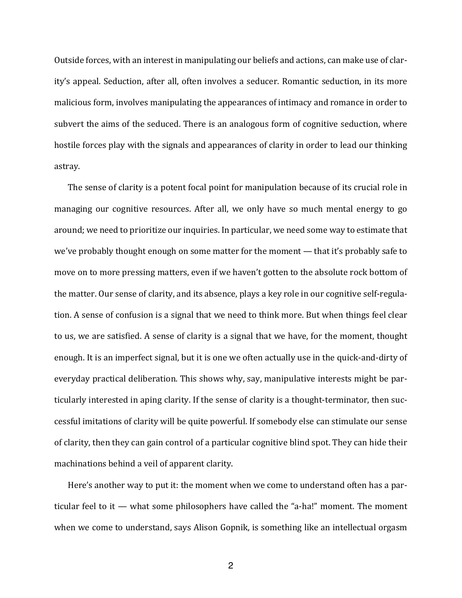Outside forces, with an interest in manipulating our beliefs and actions, can make use of clarity's appeal. Seduction, after all, often involves a seducer. Romantic seduction, in its more malicious form, involves manipulating the appearances of intimacy and romance in order to subvert the aims of the seduced. There is an analogous form of cognitive seduction, where hostile forces play with the signals and appearances of clarity in order to lead our thinking astray.

The sense of clarity is a potent focal point for manipulation because of its crucial role in managing our cognitive resources. After all, we only have so much mental energy to go around; we need to prioritize our inquiries. In particular, we need some way to estimate that we've probably thought enough on some matter for the moment  $-$  that it's probably safe to move on to more pressing matters, even if we haven't gotten to the absolute rock bottom of the matter. Our sense of clarity, and its absence, plays a key role in our cognitive self-regulation. A sense of confusion is a signal that we need to think more. But when things feel clear to us, we are satisfied. A sense of clarity is a signal that we have, for the moment, thought enough. It is an imperfect signal, but it is one we often actually use in the quick-and-dirty of everyday practical deliberation. This shows why, say, manipulative interests might be particularly interested in aping clarity. If the sense of clarity is a thought-terminator, then successful imitations of clarity will be quite powerful. If somebody else can stimulate our sense of clarity, then they can gain control of a particular cognitive blind spot. They can hide their machinations behind a veil of apparent clarity.

Here's another way to put it: the moment when we come to understand often has a particular feel to it  $-$  what some philosophers have called the "a-ha!" moment. The moment when we come to understand, says Alison Gopnik, is something like an intellectual orgasm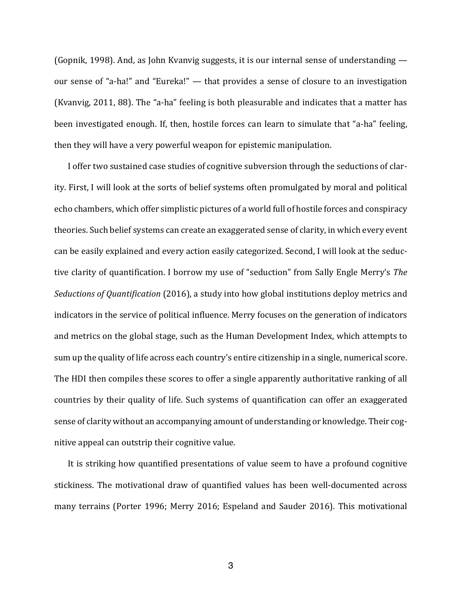(Gopnik, 1998). And, as John Kvanvig suggests, it is our internal sense of understanding  $$ our sense of "a-ha!" and "Eureka!" — that provides a sense of closure to an investigation (Kvanvig, 2011, 88). The "a-ha" feeling is both pleasurable and indicates that a matter has been investigated enough. If, then, hostile forces can learn to simulate that "a-ha" feeling, then they will have a very powerful weapon for epistemic manipulation.

I offer two sustained case studies of cognitive subversion through the seductions of clarity. First, I will look at the sorts of belief systems often promulgated by moral and political echo chambers, which offer simplistic pictures of a world full of hostile forces and conspiracy theories. Such belief systems can create an exaggerated sense of clarity, in which every event can be easily explained and every action easily categorized. Second, I will look at the seductive clarity of quantification. I borrow my use of "seduction" from Sally Engle Merry's *The Seductions of Quantification* (2016), a study into how global institutions deploy metrics and indicators in the service of political influence. Merry focuses on the generation of indicators and metrics on the global stage, such as the Human Development Index, which attempts to sum up the quality of life across each country's entire citizenship in a single, numerical score. The HDI then compiles these scores to offer a single apparently authoritative ranking of all countries by their quality of life. Such systems of quantification can offer an exaggerated sense of clarity without an accompanying amount of understanding or knowledge. Their cognitive appeal can outstrip their cognitive value.

It is striking how quantified presentations of value seem to have a profound cognitive stickiness. The motivational draw of quantified values has been well-documented across many terrains (Porter 1996; Merry 2016; Espeland and Sauder 2016). This motivational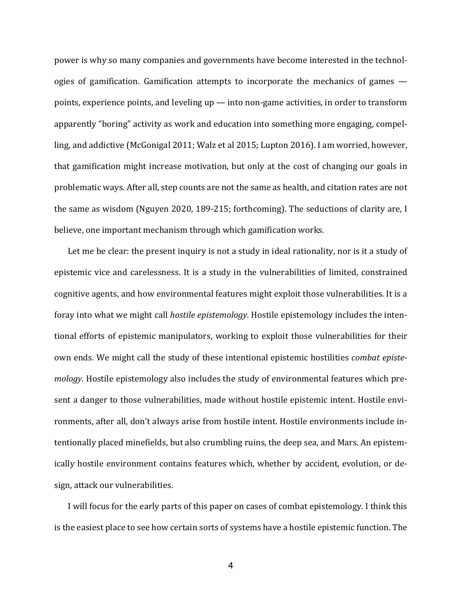power is why so many companies and governments have become interested in the technologies of gamification. Gamification attempts to incorporate the mechanics of games  $$ points, experience points, and leveling  $up$  — into non-game activities, in order to transform apparently "boring" activity as work and education into something more engaging, compelling, and addictive (McGonigal 2011; Walz et al 2015; Lupton 2016). I am worried, however, that gamification might increase motivation, but only at the cost of changing our goals in problematic ways. After all, step counts are not the same as health, and citation rates are not the same as wisdom (Nguyen 2020, 189-215; forthcoming). The seductions of clarity are, I believe, one important mechanism through which gamification works.

Let me be clear: the present inquiry is not a study in ideal rationality, nor is it a study of epistemic vice and carelessness. It is a study in the vulnerabilities of limited, constrained cognitive agents, and how environmental features might exploit those vulnerabilities. It is a foray into what we might call *hostile epistemology*. Hostile epistemology includes the intentional efforts of epistemic manipulators, working to exploit those vulnerabilities for their own ends. We might call the study of these intentional epistemic hostilities *combat epistemology*. Hostile epistemology also includes the study of environmental features which present a danger to those vulnerabilities, made without hostile epistemic intent. Hostile environments, after all, don't always arise from hostile intent. Hostile environments include intentionally placed minefields, but also crumbling ruins, the deep sea, and Mars. An epistemically hostile environment contains features which, whether by accident, evolution, or design, attack our vulnerabilities.

I will focus for the early parts of this paper on cases of combat epistemology. I think this is the easiest place to see how certain sorts of systems have a hostile epistemic function. The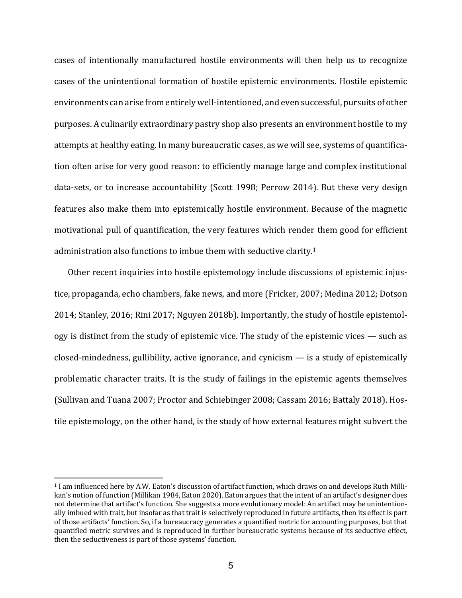cases of intentionally manufactured hostile environments will then help us to recognize cases of the unintentional formation of hostile epistemic environments. Hostile epistemic environments can arise from entirely well-intentioned, and even successful, pursuits of other purposes. A culinarily extraordinary pastry shop also presents an environment hostile to my attempts at healthy eating. In many bureaucratic cases, as we will see, systems of quantification often arise for very good reason: to efficiently manage large and complex institutional data-sets, or to increase accountability (Scott 1998; Perrow 2014). But these very design features also make them into epistemically hostile environment. Because of the magnetic motivational pull of quantification, the very features which render them good for efficient administration also functions to imbue them with seductive clarity.<sup>1</sup>

Other recent inquiries into hostile epistemology include discussions of epistemic injustice, propaganda, echo chambers, fake news, and more (Fricker, 2007; Medina 2012; Dotson 2014; Stanley, 2016; Rini 2017; Nguyen 2018b). Importantly, the study of hostile epistemology is distinct from the study of epistemic vice. The study of the epistemic vices  $-$  such as closed-mindedness, gullibility, active ignorance, and cynicism  $-$  is a study of epistemically problematic character traits. It is the study of failings in the epistemic agents themselves (Sullivan and Tuana 2007; Proctor and Schiebinger 2008; Cassam 2016; Battaly 2018). Hostile epistemology, on the other hand, is the study of how external features might subvert the

<sup>&</sup>lt;sup>1</sup> I am influenced here by A.W. Eaton's discussion of artifact function, which draws on and develops Ruth Millikan's notion of function (Millikan 1984, Eaton 2020). Eaton argues that the intent of an artifact's designer does not determine that artifact's function. She suggests a more evolutionary model: An artifact may be unintentionally imbued with trait, but insofar as that trait is selectively reproduced in future artifacts, then its effect is part of those artifacts' function. So, if a bureaucracy generates a quantified metric for accounting purposes, but that quantified metric survives and is reproduced in further bureaucratic systems because of its seductive effect, then the seductiveness is part of those systems' function.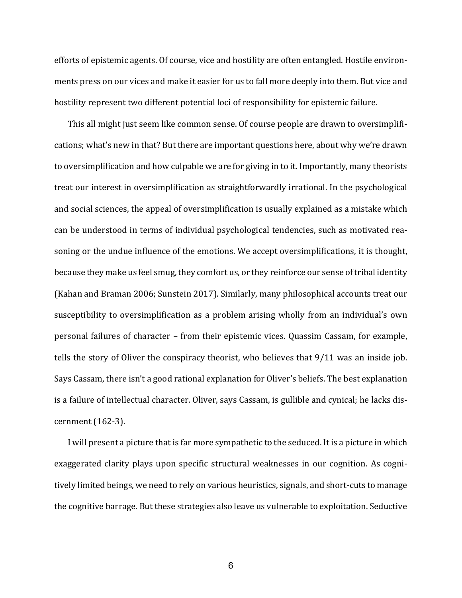efforts of epistemic agents. Of course, vice and hostility are often entangled. Hostile environments press on our vices and make it easier for us to fall more deeply into them. But vice and hostility represent two different potential loci of responsibility for epistemic failure.

This all might just seem like common sense. Of course people are drawn to oversimplifications; what's new in that? But there are important questions here, about why we're drawn to oversimplification and how culpable we are for giving in to it. Importantly, many theorists treat our interest in oversimplification as straightforwardly irrational. In the psychological and social sciences, the appeal of oversimplification is usually explained as a mistake which can be understood in terms of individual psychological tendencies, such as motivated reasoning or the undue influence of the emotions. We accept oversimplifications, it is thought, because they make us feel smug, they comfort us, or they reinforce our sense of tribal identity (Kahan and Braman 2006; Sunstein 2017). Similarly, many philosophical accounts treat our susceptibility to oversimplification as a problem arising wholly from an individual's own personal failures of character - from their epistemic vices. Quassim Cassam, for example, tells the story of Oliver the conspiracy theorist, who believes that  $9/11$  was an inside job. Says Cassam, there isn't a good rational explanation for Oliver's beliefs. The best explanation is a failure of intellectual character. Oliver, says Cassam, is gullible and cynical; he lacks discernment  $(162-3)$ .

I will present a picture that is far more sympathetic to the seduced. It is a picture in which exaggerated clarity plays upon specific structural weaknesses in our cognition. As cognitively limited beings, we need to rely on various heuristics, signals, and short-cuts to manage the cognitive barrage. But these strategies also leave us vulnerable to exploitation. Seductive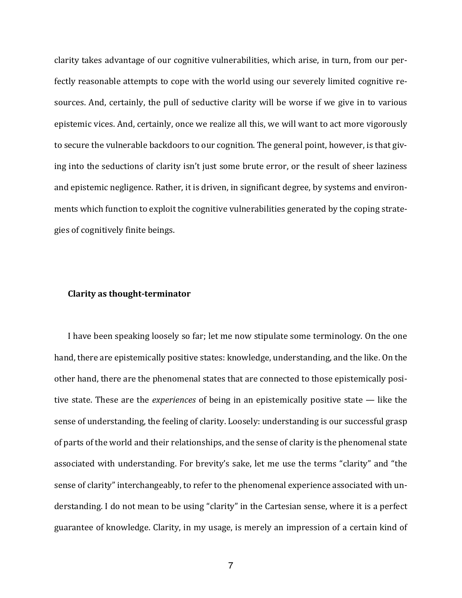clarity takes advantage of our cognitive vulnerabilities, which arise, in turn, from our perfectly reasonable attempts to cope with the world using our severely limited cognitive resources. And, certainly, the pull of seductive clarity will be worse if we give in to various epistemic vices. And, certainly, once we realize all this, we will want to act more vigorously to secure the vulnerable backdoors to our cognition. The general point, however, is that giving into the seductions of clarity isn't just some brute error, or the result of sheer laziness and epistemic negligence. Rather, it is driven, in significant degree, by systems and environments which function to exploit the cognitive vulnerabilities generated by the coping strategies of cognitively finite beings.

#### **Clarity as thought-terminator**

I have been speaking loosely so far; let me now stipulate some terminology. On the one hand, there are epistemically positive states: knowledge, understanding, and the like. On the other hand, there are the phenomenal states that are connected to those epistemically positive state. These are the *experiences* of being in an epistemically positive state  $-$  like the sense of understanding, the feeling of clarity. Loosely: understanding is our successful grasp of parts of the world and their relationships, and the sense of clarity is the phenomenal state associated with understanding. For brevity's sake, let me use the terms "clarity" and "the sense of clarity" interchangeably, to refer to the phenomenal experience associated with understanding. I do not mean to be using "clarity" in the Cartesian sense, where it is a perfect guarantee of knowledge. Clarity, in my usage, is merely an impression of a certain kind of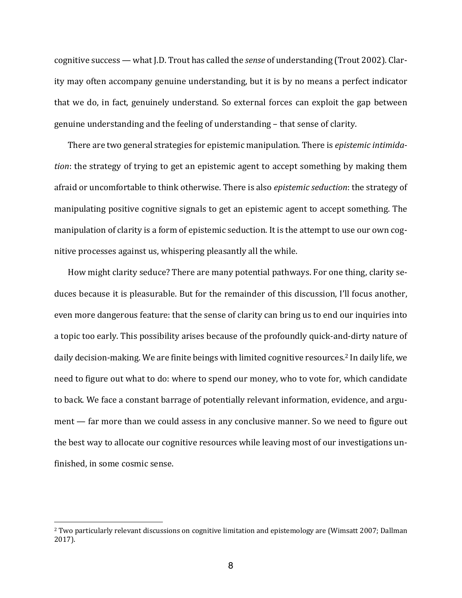cognitive success — what J.D. Trout has called the *sense* of understanding (Trout 2002). Clarity may often accompany genuine understanding, but it is by no means a perfect indicator that we do, in fact, genuinely understand. So external forces can exploit the gap between genuine understanding and the feeling of understanding - that sense of clarity.

There are two general strategies for epistemic manipulation. There is *epistemic intimidation*: the strategy of trying to get an epistemic agent to accept something by making them afraid or uncomfortable to think otherwise. There is also *epistemic seduction*: the strategy of manipulating positive cognitive signals to get an epistemic agent to accept something. The manipulation of clarity is a form of epistemic seduction. It is the attempt to use our own cognitive processes against us, whispering pleasantly all the while.

How might clarity seduce? There are many potential pathways. For one thing, clarity seduces because it is pleasurable. But for the remainder of this discussion, I'll focus another, even more dangerous feature: that the sense of clarity can bring us to end our inquiries into a topic too early. This possibility arises because of the profoundly quick-and-dirty nature of daily decision-making. We are finite beings with limited cognitive resources.<sup>2</sup> In daily life, we need to figure out what to do: where to spend our money, who to vote for, which candidate to back. We face a constant barrage of potentially relevant information, evidence, and argument — far more than we could assess in any conclusive manner. So we need to figure out the best way to allocate our cognitive resources while leaving most of our investigations unfinished, in some cosmic sense.

<sup>&</sup>lt;sup>2</sup> Two particularly relevant discussions on cognitive limitation and epistemology are (Wimsatt 2007; Dallman 2017).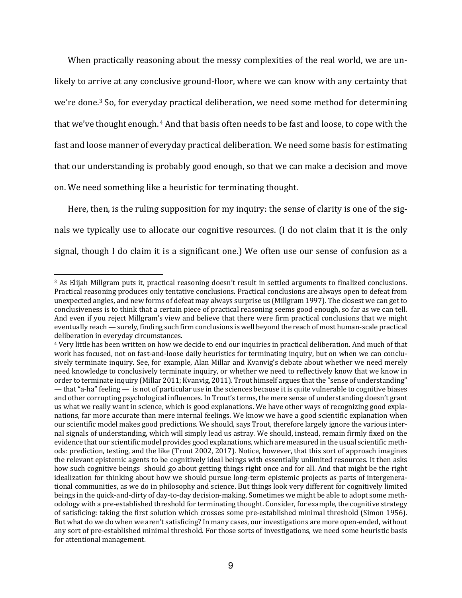When practically reasoning about the messy complexities of the real world, we are unlikely to arrive at any conclusive ground-floor, where we can know with any certainty that we're done.<sup>3</sup> So, for everyday practical deliberation, we need some method for determining that we've thought enough. <sup>4</sup> And that basis often needs to be fast and loose, to cope with the fast and loose manner of everyday practical deliberation. We need some basis for estimating that our understanding is probably good enough, so that we can make a decision and move on. We need something like a heuristic for terminating thought.

Here, then, is the ruling supposition for my inquiry: the sense of clarity is one of the signals we typically use to allocate our cognitive resources. (I do not claim that it is the only signal, though I do claim it is a significant one.) We often use our sense of confusion as a

<sup>&</sup>lt;sup>3</sup> As Elijah Millgram puts it, practical reasoning doesn't result in settled arguments to finalized conclusions. Practical reasoning produces only tentative conclusions. Practical conclusions are always open to defeat from unexpected angles, and new forms of defeat may always surprise us (Millgram 1997). The closest we can get to conclusiveness is to think that a certain piece of practical reasoning seems good enough, so far as we can tell. And even if you reject Millgram's view and believe that there were firm practical conclusions that we might eventually reach — surely, finding such firm conclusions is well beyond the reach of most human-scale practical deliberation in everyday circumstances.

<sup>&</sup>lt;sup>4</sup> Very little has been written on how we decide to end our inquiries in practical deliberation. And much of that work has focused, not on fast-and-loose daily heuristics for terminating inquiry, but on when we can conclusively terminate inquiry. See, for example, Alan Millar and Kvanvig's debate about whether we need merely need knowledge to conclusively terminate inquiry, or whether we need to reflectively know that we know in order to terminate inquiry (Millar 2011; Kvanvig, 2011). Trout himself argues that the "sense of understanding"  $-$  that "a-ha" feeling  $-$  is not of particular use in the sciences because it is quite vulnerable to cognitive biases and other corrupting psychological influences. In Trout's terms, the mere sense of understanding doesn't grant us what we really want in science, which is good explanations. We have other ways of recognizing good explanations, far more accurate than mere internal feelings. We know we have a good scientific explanation when our scientific model makes good predictions. We should, says Trout, therefore largely ignore the various internal signals of understanding, which will simply lead us astray. We should, instead, remain firmly fixed on the evidence that our scientific model provides good explanations, which are measured in the usual scientific methods: prediction, testing, and the like (Trout 2002, 2017). Notice, however, that this sort of approach imagines the relevant epistemic agents to be cognitively ideal beings with essentially unlimited resources. It then asks how such cognitive beings should go about getting things right once and for all. And that might be the right idealization for thinking about how we should pursue long-term epistemic projects as parts of intergenerational communities, as we do in philosophy and science. But things look very different for cognitively limited beings in the quick-and-dirty of day-to-day decision-making. Sometimes we might be able to adopt some methodology with a pre-established threshold for terminating thought. Consider, for example, the cognitive strategy of satisficing: taking the first solution which crosses some pre-established minimal threshold (Simon 1956). But what do we do when we aren't satisficing? In many cases, our investigations are more open-ended, without any sort of pre-established minimal threshold. For those sorts of investigations, we need some heuristic basis for attentional management.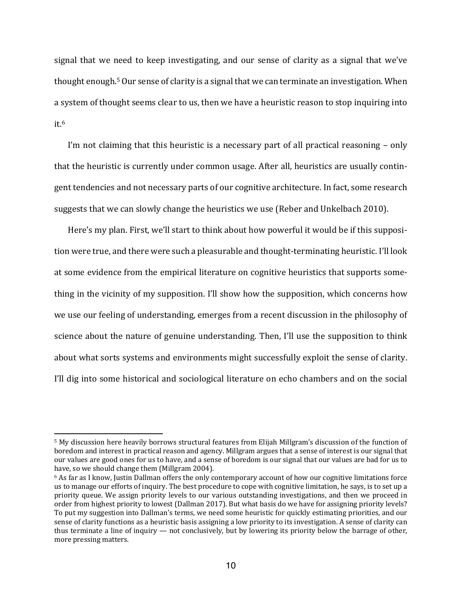signal that we need to keep investigating, and our sense of clarity as a signal that we've thought enough.<sup>5</sup> Our sense of clarity is a signal that we can terminate an investigation. When a system of thought seems clear to us, then we have a heuristic reason to stop inquiring into it.6

I'm not claiming that this heuristic is a necessary part of all practical reasoning  $-$  only that the heuristic is currently under common usage. After all, heuristics are usually contingent tendencies and not necessary parts of our cognitive architecture. In fact, some research suggests that we can slowly change the heuristics we use (Reber and Unkelbach 2010).

Here's my plan. First, we'll start to think about how powerful it would be if this supposition were true, and there were such a pleasurable and thought-terminating heuristic. I'll look at some evidence from the empirical literature on cognitive heuristics that supports something in the vicinity of my supposition. I'll show how the supposition, which concerns how we use our feeling of understanding, emerges from a recent discussion in the philosophy of science about the nature of genuine understanding. Then, I'll use the supposition to think about what sorts systems and environments might successfully exploit the sense of clarity. I'll dig into some historical and sociological literature on echo chambers and on the social

<sup>&</sup>lt;sup>5</sup> My discussion here heavily borrows structural features from Elijah Millgram's discussion of the function of boredom and interest in practical reason and agency. Millgram argues that a sense of interest is our signal that our values are good ones for us to have, and a sense of boredom is our signal that our values are bad for us to have, so we should change them (Millgram 2004).

<sup>&</sup>lt;sup>6</sup> As far as I know, Justin Dallman offers the only contemporary account of how our cognitive limitations force us to manage our efforts of inquiry. The best procedure to cope with cognitive limitation, he says, is to set up a priority queue. We assign priority levels to our various outstanding investigations, and then we proceed in order from highest priority to lowest (Dallman 2017). But what basis do we have for assigning priority levels? To put my suggestion into Dallman's terms, we need some heuristic for quickly estimating priorities, and our sense of clarity functions as a heuristic basis assigning a low priority to its investigation. A sense of clarity can thus terminate a line of inquiry — not conclusively, but by lowering its priority below the barrage of other, more pressing matters.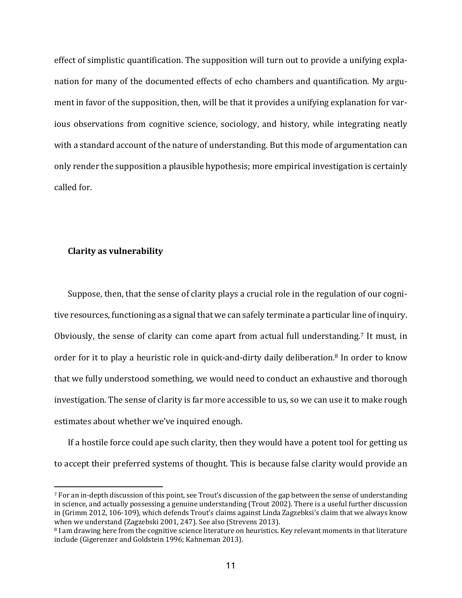effect of simplistic quantification. The supposition will turn out to provide a unifying explanation for many of the documented effects of echo chambers and quantification. My argument in favor of the supposition, then, will be that it provides a unifying explanation for various observations from cognitive science, sociology, and history, while integrating neatly with a standard account of the nature of understanding. But this mode of argumentation can only render the supposition a plausible hypothesis; more empirical investigation is certainly called for.

#### **Clarity as vulnerability**

Suppose, then, that the sense of clarity plays a crucial role in the regulation of our cognitive resources, functioning as a signal that we can safely terminate a particular line of inquiry. Obviously, the sense of clarity can come apart from actual full understanding.<sup>7</sup> It must, in order for it to play a heuristic role in quick-and-dirty daily deliberation.<sup>8</sup> In order to know that we fully understood something, we would need to conduct an exhaustive and thorough investigation. The sense of clarity is far more accessible to us, so we can use it to make rough estimates about whether we've inquired enough.

If a hostile force could ape such clarity, then they would have a potent tool for getting us to accept their preferred systems of thought. This is because false clarity would provide an

 $7$  For an in-depth discussion of this point, see Trout's discussion of the gap between the sense of understanding in science, and actually possessing a genuine understanding (Trout 2002). There is a useful further discussion in (Grimm 2012, 106-109), which defends Trout's claims against Linda Zagzebksi's claim that we always know when we understand (Zagzebski 2001, 247). See also (Strevens 2013).

<sup>&</sup>lt;sup>8</sup> I am drawing here from the cognitive science literature on heuristics. Key relevant moments in that literature include (Gigerenzer and Goldstein 1996; Kahneman 2013).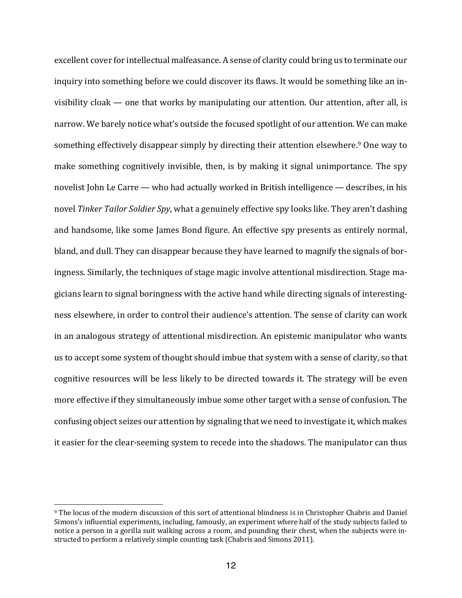excellent cover for intellectual malfeasance. A sense of clarity could bring us to terminate our inquiry into something before we could discover its flaws. It would be something like an invisibility cloak  $-$  one that works by manipulating our attention. Our attention, after all, is narrow. We barely notice what's outside the focused spotlight of our attention. We can make something effectively disappear simply by directing their attention elsewhere.<sup>9</sup> One way to make something cognitively invisible, then, is by making it signal unimportance. The spy novelist John Le Carre — who had actually worked in British intelligence — describes, in his novel *Tinker Tailor Soldier Spy*, what a genuinely effective spy looks like. They aren't dashing and handsome, like some James Bond figure. An effective spy presents as entirely normal, bland, and dull. They can disappear because they have learned to magnify the signals of boringness. Similarly, the techniques of stage magic involve attentional misdirection. Stage magicians learn to signal boringness with the active hand while directing signals of interestingness elsewhere, in order to control their audience's attention. The sense of clarity can work in an analogous strategy of attentional misdirection. An epistemic manipulator who wants us to accept some system of thought should imbue that system with a sense of clarity, so that cognitive resources will be less likely to be directed towards it. The strategy will be even more effective if they simultaneously imbue some other target with a sense of confusion. The confusing object seizes our attention by signaling that we need to investigate it, which makes it easier for the clear-seeming system to recede into the shadows. The manipulator can thus

<sup>&</sup>lt;sup>9</sup> The locus of the modern discussion of this sort of attentional blindness is in Christopher Chabris and Daniel Simons's influential experiments, including, famously, an experiment where half of the study subjects failed to notice a person in a gorilla suit walking across a room, and pounding their chest, when the subjects were instructed to perform a relatively simple counting task (Chabris and Simons 2011).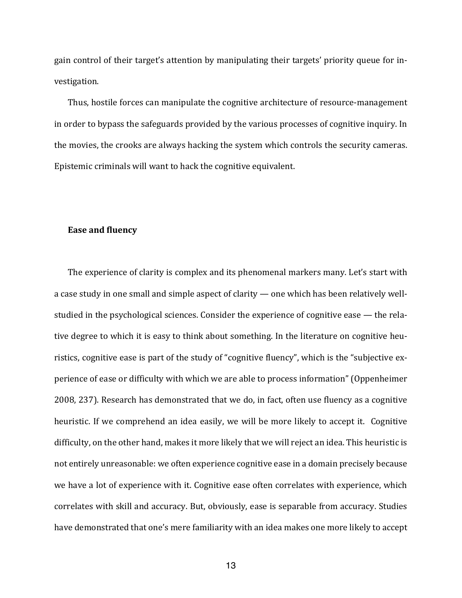gain control of their target's attention by manipulating their targets' priority queue for investigation. 

Thus, hostile forces can manipulate the cognitive architecture of resource-management in order to bypass the safeguards provided by the various processes of cognitive inquiry. In the movies, the crooks are always hacking the system which controls the security cameras. Epistemic criminals will want to hack the cognitive equivalent.

## **Ease and fluency**

The experience of clarity is complex and its phenomenal markers many. Let's start with a case study in one small and simple aspect of clarity  $-$  one which has been relatively wellstudied in the psychological sciences. Consider the experience of cognitive ease  $-$  the relative degree to which it is easy to think about something. In the literature on cognitive heuristics, cognitive ease is part of the study of "cognitive fluency", which is the "subjective experience of ease or difficulty with which we are able to process information" (Oppenheimer 2008, 237). Research has demonstrated that we do, in fact, often use fluency as a cognitive heuristic. If we comprehend an idea easily, we will be more likely to accept it. Cognitive difficulty, on the other hand, makes it more likely that we will reject an idea. This heuristic is not entirely unreasonable: we often experience cognitive ease in a domain precisely because we have a lot of experience with it. Cognitive ease often correlates with experience, which correlates with skill and accuracy. But, obviously, ease is separable from accuracy. Studies have demonstrated that one's mere familiarity with an idea makes one more likely to accept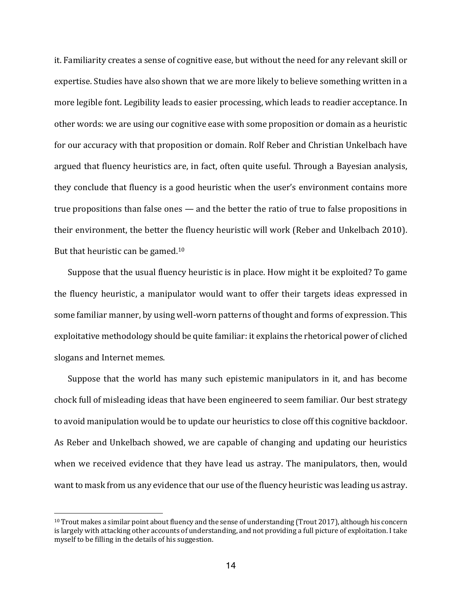it. Familiarity creates a sense of cognitive ease, but without the need for any relevant skill or expertise. Studies have also shown that we are more likely to believe something written in a more legible font. Legibility leads to easier processing, which leads to readier acceptance. In other words: we are using our cognitive ease with some proposition or domain as a heuristic for our accuracy with that proposition or domain. Rolf Reber and Christian Unkelbach have argued that fluency heuristics are, in fact, often quite useful. Through a Bayesian analysis, they conclude that fluency is a good heuristic when the user's environment contains more true propositions than false ones  $-$  and the better the ratio of true to false propositions in their environment, the better the fluency heuristic will work (Reber and Unkelbach 2010). But that heuristic can be gamed.<sup>10</sup>

Suppose that the usual fluency heuristic is in place. How might it be exploited? To game the fluency heuristic, a manipulator would want to offer their targets ideas expressed in some familiar manner, by using well-worn patterns of thought and forms of expression. This exploitative methodology should be quite familiar: it explains the rhetorical power of cliched slogans and Internet memes.

Suppose that the world has many such epistemic manipulators in it, and has become chock full of misleading ideas that have been engineered to seem familiar. Our best strategy to avoid manipulation would be to update our heuristics to close off this cognitive backdoor. As Reber and Unkelbach showed, we are capable of changing and updating our heuristics when we received evidence that they have lead us astray. The manipulators, then, would want to mask from us any evidence that our use of the fluency heuristic was leading us astray.

 $10$  Trout makes a similar point about fluency and the sense of understanding (Trout 2017), although his concern is largely with attacking other accounts of understanding, and not providing a full picture of exploitation. I take myself to be filling in the details of his suggestion.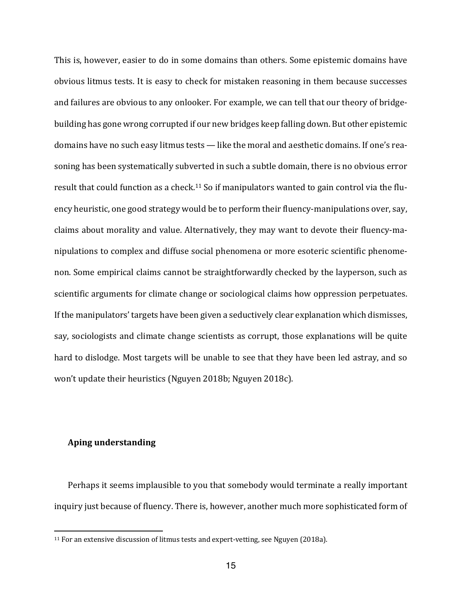This is, however, easier to do in some domains than others. Some epistemic domains have obvious litmus tests. It is easy to check for mistaken reasoning in them because successes and failures are obvious to any onlooker. For example, we can tell that our theory of bridgebuilding has gone wrong corrupted if our new bridges keep falling down. But other epistemic domains have no such easy litmus tests — like the moral and aesthetic domains. If one's reasoning has been systematically subverted in such a subtle domain, there is no obvious error result that could function as a check.<sup>11</sup> So if manipulators wanted to gain control via the fluency heuristic, one good strategy would be to perform their fluency-manipulations over, say, claims about morality and value. Alternatively, they may want to devote their fluency-manipulations to complex and diffuse social phenomena or more esoteric scientific phenomenon. Some empirical claims cannot be straightforwardly checked by the layperson, such as scientific arguments for climate change or sociological claims how oppression perpetuates. If the manipulators' targets have been given a seductively clear explanation which dismisses, say, sociologists and climate change scientists as corrupt, those explanations will be quite hard to dislodge. Most targets will be unable to see that they have been led astray, and so won't update their heuristics (Nguyen 2018b; Nguyen 2018c).

#### **Aping understanding**

Perhaps it seems implausible to you that somebody would terminate a really important inquiry just because of fluency. There is, however, another much more sophisticated form of

<sup>&</sup>lt;sup>11</sup> For an extensive discussion of litmus tests and expert-vetting, see Nguyen (2018a).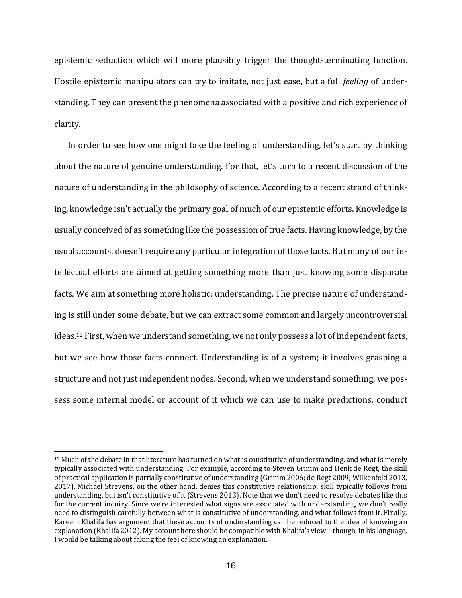epistemic seduction which will more plausibly trigger the thought-terminating function. Hostile epistemic manipulators can try to imitate, not just ease, but a full *feeling* of understanding. They can present the phenomena associated with a positive and rich experience of clarity. 

In order to see how one might fake the feeling of understanding, let's start by thinking about the nature of genuine understanding. For that, let's turn to a recent discussion of the nature of understanding in the philosophy of science. According to a recent strand of thinking, knowledge isn't actually the primary goal of much of our epistemic efforts. Knowledge is usually conceived of as something like the possession of true facts. Having knowledge, by the usual accounts, doesn't require any particular integration of those facts. But many of our intellectual efforts are aimed at getting something more than just knowing some disparate facts. We aim at something more holistic: understanding. The precise nature of understanding is still under some debate, but we can extract some common and largely uncontroversial ideas.<sup>12</sup> First, when we understand something, we not only possess a lot of independent facts, but we see how those facts connect. Understanding is of a system; it involves grasping a structure and not just independent nodes. Second, when we understand something, we possess some internal model or account of it which we can use to make predictions, conduct

 $12$  Much of the debate in that literature has turned on what is constitutive of understanding, and what is merely typically associated with understanding. For example, according to Steven Grimm and Henk de Regt, the skill of practical application is partially constitutive of understanding (Grimm 2006; de Regt 2009; Wilkenfeld 2013, 2017). Michael Strevens, on the other hand, denies this constitutive relationship; skill typically follows from understanding, but isn't constitutive of it (Strevens 2013). Note that we don't need to resolve debates like this for the current inquiry. Since we're interested what signs are associated with understanding, we don't really need to distinguish carefully between what is constitutive of understanding, and what follows from it. Finally, Kareem Khalifa has argument that these accounts of understanding can be reduced to the idea of knowing an explanation (Khalifa 2012). My account here should be compatible with Khalifa's view – though, in his language, I would be talking about faking the feel of knowing an explanation.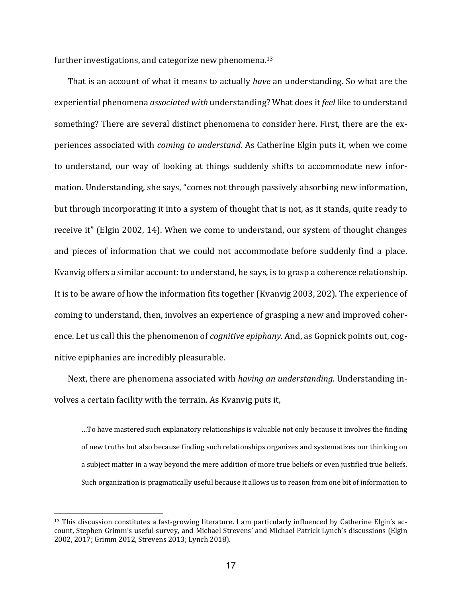further investigations, and categorize new phenomena.<sup>13</sup>

That is an account of what it means to actually *have* an understanding. So what are the experiential phenomena *associated with* understanding? What does it *feel* like to understand something? There are several distinct phenomena to consider here. First, there are the experiences associated with *coming to understand*. As Catherine Elgin puts it, when we come to understand, our way of looking at things suddenly shifts to accommodate new information. Understanding, she says, "comes not through passively absorbing new information, but through incorporating it into a system of thought that is not, as it stands, quite ready to receive it" (Elgin 2002, 14). When we come to understand, our system of thought changes and pieces of information that we could not accommodate before suddenly find a place. Kvanvig offers a similar account: to understand, he says, is to grasp a coherence relationship. It is to be aware of how the information fits together (Kvanvig 2003, 202). The experience of coming to understand, then, involves an experience of grasping a new and improved coherence. Let us call this the phenomenon of *cognitive epiphany*. And, as Gopnick points out, cognitive epiphanies are incredibly pleasurable.

Next, there are phenomena associated with *having an understanding*. Understanding involves a certain facility with the terrain. As Kvanvig puts it,

...To have mastered such explanatory relationships is valuable not only because it involves the finding of new truths but also because finding such relationships organizes and systematizes our thinking on a subject matter in a way beyond the mere addition of more true beliefs or even justified true beliefs. Such organization is pragmatically useful because it allows us to reason from one bit of information to

 $13$  This discussion constitutes a fast-growing literature. I am particularly influenced by Catherine Elgin's account, Stephen Grimm's useful survey, and Michael Strevens' and Michael Patrick Lynch's discussions (Elgin 2002, 2017; Grimm 2012, Strevens 2013; Lynch 2018).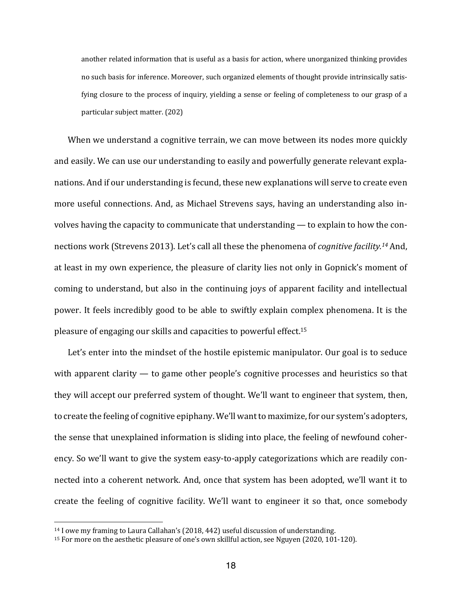another related information that is useful as a basis for action, where unorganized thinking provides no such basis for inference. Moreover, such organized elements of thought provide intrinsically satisfying closure to the process of inquiry, yielding a sense or feeling of completeness to our grasp of a particular subject matter. (202)

When we understand a cognitive terrain, we can move between its nodes more quickly and easily. We can use our understanding to easily and powerfully generate relevant explanations. And if our understanding is fecund, these new explanations will serve to create even more useful connections. And, as Michael Strevens says, having an understanding also involves having the capacity to communicate that understanding  $-$  to explain to how the connections work (Strevens 2013). Let's call all these the phenomena of *cognitive facility.<sup>14</sup>* And, at least in my own experience, the pleasure of clarity lies not only in Gopnick's moment of coming to understand, but also in the continuing joys of apparent facility and intellectual power. It feels incredibly good to be able to swiftly explain complex phenomena. It is the pleasure of engaging our skills and capacities to powerful effect.<sup>15</sup>

Let's enter into the mindset of the hostile epistemic manipulator. Our goal is to seduce with apparent clarity  $-$  to game other people's cognitive processes and heuristics so that they will accept our preferred system of thought. We'll want to engineer that system, then, to create the feeling of cognitive epiphany. We'll want to maximize, for our system's adopters, the sense that unexplained information is sliding into place, the feeling of newfound coherency. So we'll want to give the system easy-to-apply categorizations which are readily connected into a coherent network. And, once that system has been adopted, we'll want it to create the feeling of cognitive facility. We'll want to engineer it so that, once somebody

 $14$  I owe my framing to Laura Callahan's (2018, 442) useful discussion of understanding.

<sup>&</sup>lt;sup>15</sup> For more on the aesthetic pleasure of one's own skillful action, see Nguyen (2020, 101-120).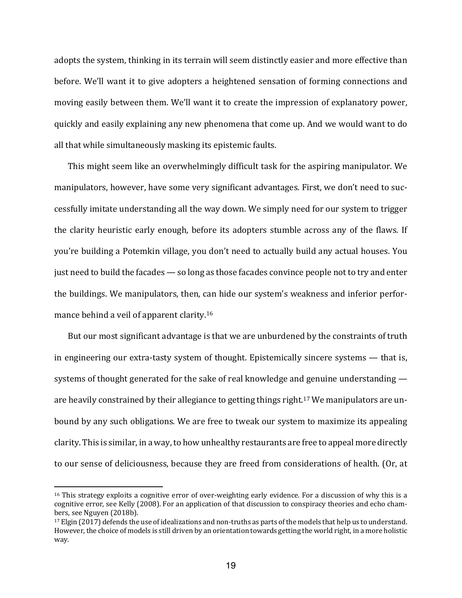adopts the system, thinking in its terrain will seem distinctly easier and more effective than before. We'll want it to give adopters a heightened sensation of forming connections and moving easily between them. We'll want it to create the impression of explanatory power, quickly and easily explaining any new phenomena that come up. And we would want to do all that while simultaneously masking its epistemic faults.

This might seem like an overwhelmingly difficult task for the aspiring manipulator. We manipulators, however, have some very significant advantages. First, we don't need to successfully imitate understanding all the way down. We simply need for our system to trigger the clarity heuristic early enough, before its adopters stumble across any of the flaws. If you're building a Potemkin village, you don't need to actually build any actual houses. You just need to build the facades  $-$  so long as those facades convince people not to try and enter the buildings. We manipulators, then, can hide our system's weakness and inferior performance behind a veil of apparent clarity.<sup>16</sup>

But our most significant advantage is that we are unburdened by the constraints of truth in engineering our extra-tasty system of thought. Epistemically sincere systems  $-$  that is, systems of thought generated for the sake of real knowledge and genuine understanding  $$ are heavily constrained by their allegiance to getting things right.<sup>17</sup> We manipulators are unbound by any such obligations. We are free to tweak our system to maximize its appealing clarity. This is similar, in a way, to how unhealthy restaurants are free to appeal more directly to our sense of deliciousness, because they are freed from considerations of health. (Or, at

 $16$  This strategy exploits a cognitive error of over-weighting early evidence. For a discussion of why this is a cognitive error, see Kelly (2008). For an application of that discussion to conspiracy theories and echo chambers, see Nguyen (2018b).

 $17$  Elgin (2017) defends the use of idealizations and non-truths as parts of the models that help us to understand. However, the choice of models is still driven by an orientation towards getting the world right, in a more holistic way.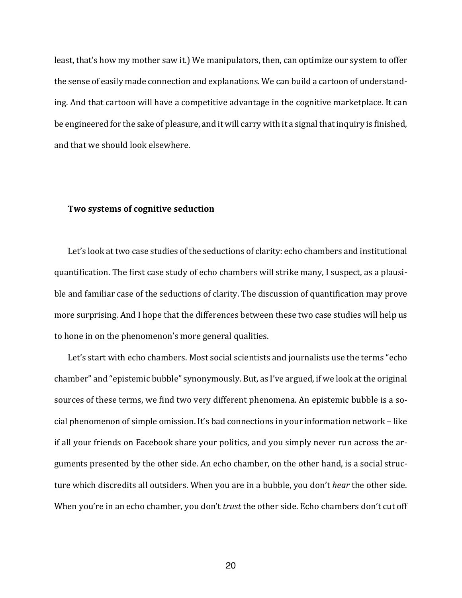least, that's how my mother saw it.) We manipulators, then, can optimize our system to offer the sense of easily made connection and explanations. We can build a cartoon of understanding. And that cartoon will have a competitive advantage in the cognitive marketplace. It can be engineered for the sake of pleasure, and it will carry with it a signal that inquiry is finished, and that we should look elsewhere.

#### **Two systems of cognitive seduction**

Let's look at two case studies of the seductions of clarity: echo chambers and institutional quantification. The first case study of echo chambers will strike many, I suspect, as a plausible and familiar case of the seductions of clarity. The discussion of quantification may prove more surprising. And I hope that the differences between these two case studies will help us to hone in on the phenomenon's more general qualities.

Let's start with echo chambers. Most social scientists and journalists use the terms "echo chamber" and "epistemic bubble" synonymously. But, as I've argued, if we look at the original sources of these terms, we find two very different phenomena. An epistemic bubble is a social phenomenon of simple omission. It's bad connections in your information network - like if all your friends on Facebook share your politics, and you simply never run across the arguments presented by the other side. An echo chamber, on the other hand, is a social structure which discredits all outsiders. When you are in a bubble, you don't *hear* the other side. When you're in an echo chamber, you don't *trust* the other side. Echo chambers don't cut off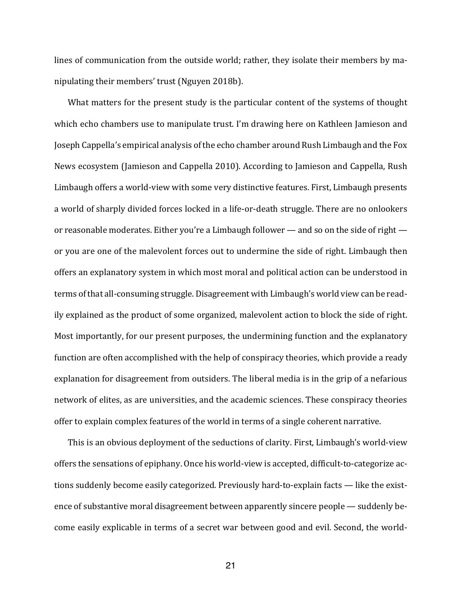lines of communication from the outside world; rather, they isolate their members by manipulating their members' trust (Nguyen 2018b).

What matters for the present study is the particular content of the systems of thought which echo chambers use to manipulate trust. I'm drawing here on Kathleen Jamieson and Joseph Cappella's empirical analysis of the echo chamber around Rush Limbaugh and the Fox News ecosystem (Jamieson and Cappella 2010). According to Jamieson and Cappella, Rush Limbaugh offers a world-view with some very distinctive features. First, Limbaugh presents a world of sharply divided forces locked in a life-or-death struggle. There are no onlookers or reasonable moderates. Either you're a Limbaugh follower  $-$  and so on the side of right  $$ or you are one of the malevolent forces out to undermine the side of right. Limbaugh then offers an explanatory system in which most moral and political action can be understood in terms of that all-consuming struggle. Disagreement with Limbaugh's world view can be readily explained as the product of some organized, malevolent action to block the side of right. Most importantly, for our present purposes, the undermining function and the explanatory function are often accomplished with the help of conspiracy theories, which provide a ready explanation for disagreement from outsiders. The liberal media is in the grip of a nefarious network of elites, as are universities, and the academic sciences. These conspiracy theories offer to explain complex features of the world in terms of a single coherent narrative.

This is an obvious deployment of the seductions of clarity. First, Limbaugh's world-view offers the sensations of epiphany. Once his world-view is accepted, difficult-to-categorize actions suddenly become easily categorized. Previously hard-to-explain facts — like the existence of substantive moral disagreement between apparently sincere people — suddenly become easily explicable in terms of a secret war between good and evil. Second, the world-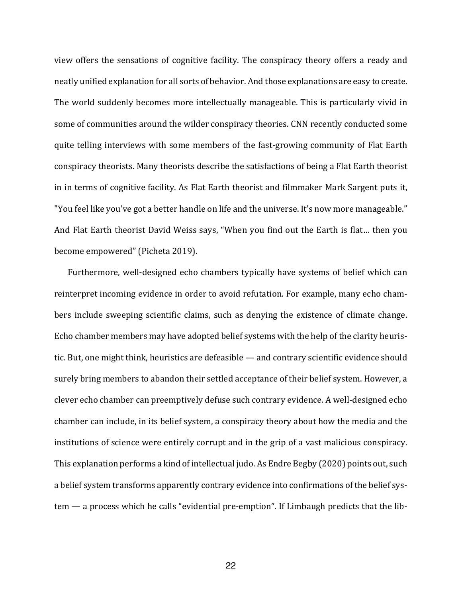view offers the sensations of cognitive facility. The conspiracy theory offers a ready and neatly unified explanation for all sorts of behavior. And those explanations are easy to create. The world suddenly becomes more intellectually manageable. This is particularly vivid in some of communities around the wilder conspiracy theories. CNN recently conducted some quite telling interviews with some members of the fast-growing community of Flat Earth conspiracy theorists. Many theorists describe the satisfactions of being a Flat Earth theorist in in terms of cognitive facility. As Flat Earth theorist and filmmaker Mark Sargent puts it, "You feel like you've got a better handle on life and the universe. It's now more manageable." And Flat Earth theorist David Weiss says, "When you find out the Earth is flat... then you become empowered" (Picheta 2019).

Furthermore, well-designed echo chambers typically have systems of belief which can reinterpret incoming evidence in order to avoid refutation. For example, many echo chambers include sweeping scientific claims, such as denying the existence of climate change. Echo chamber members may have adopted belief systems with the help of the clarity heuristic. But, one might think, heuristics are defeasible - and contrary scientific evidence should surely bring members to abandon their settled acceptance of their belief system. However, a clever echo chamber can preemptively defuse such contrary evidence. A well-designed echo chamber can include, in its belief system, a conspiracy theory about how the media and the institutions of science were entirely corrupt and in the grip of a vast malicious conspiracy. This explanation performs a kind of intellectual judo. As Endre Begby (2020) points out, such a belief system transforms apparently contrary evidence into confirmations of the belief sys $tem - a$  process which he calls "evidential pre-emption". If Limbaugh predicts that the lib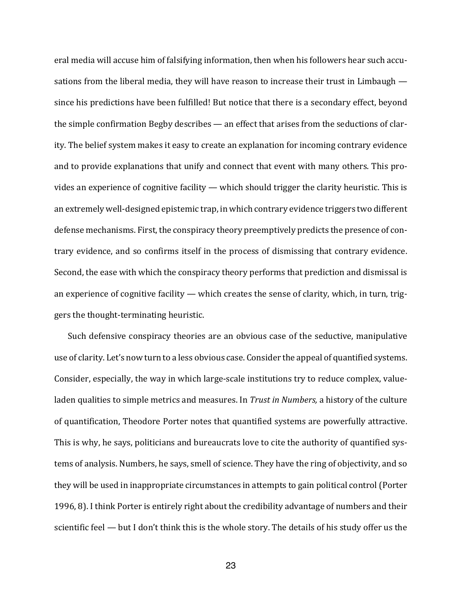eral media will accuse him of falsifying information, then when his followers hear such accusations from the liberal media, they will have reason to increase their trust in Limbaugh  $$ since his predictions have been fulfilled! But notice that there is a secondary effect, beyond the simple confirmation Begby describes  $-$  an effect that arises from the seductions of clarity. The belief system makes it easy to create an explanation for incoming contrary evidence and to provide explanations that unify and connect that event with many others. This provides an experience of cognitive facility — which should trigger the clarity heuristic. This is an extremely well-designed epistemic trap, in which contrary evidence triggers two different defense mechanisms. First, the conspiracy theory preemptively predicts the presence of contrary evidence, and so confirms itself in the process of dismissing that contrary evidence. Second, the ease with which the conspiracy theory performs that prediction and dismissal is an experience of cognitive facility  $-$  which creates the sense of clarity, which, in turn, triggers the thought-terminating heuristic.

Such defensive conspiracy theories are an obvious case of the seductive, manipulative use of clarity. Let's now turn to a less obvious case. Consider the appeal of quantified systems. Consider, especially, the way in which large-scale institutions try to reduce complex, valueladen qualities to simple metrics and measures. In *Trust in Numbers*, a history of the culture of quantification, Theodore Porter notes that quantified systems are powerfully attractive. This is why, he says, politicians and bureaucrats love to cite the authority of quantified systems of analysis. Numbers, he says, smell of science. They have the ring of objectivity, and so they will be used in inappropriate circumstances in attempts to gain political control (Porter 1996, 8). I think Porter is entirely right about the credibility advantage of numbers and their scientific feel  $-$  but I don't think this is the whole story. The details of his study offer us the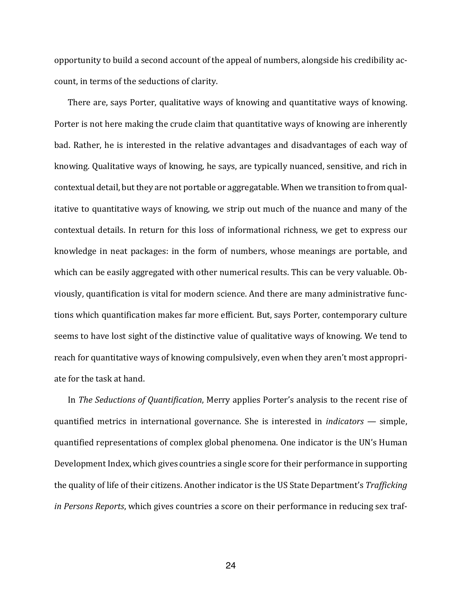opportunity to build a second account of the appeal of numbers, alongside his credibility account, in terms of the seductions of clarity.

There are, says Porter, qualitative ways of knowing and quantitative ways of knowing. Porter is not here making the crude claim that quantitative ways of knowing are inherently bad. Rather, he is interested in the relative advantages and disadvantages of each way of knowing. Qualitative ways of knowing, he says, are typically nuanced, sensitive, and rich in contextual detail, but they are not portable or aggregatable. When we transition to from qualitative to quantitative ways of knowing, we strip out much of the nuance and many of the contextual details. In return for this loss of informational richness, we get to express our knowledge in neat packages: in the form of numbers, whose meanings are portable, and which can be easily aggregated with other numerical results. This can be very valuable. Obviously, quantification is vital for modern science. And there are many administrative functions which quantification makes far more efficient. But, says Porter, contemporary culture seems to have lost sight of the distinctive value of qualitative ways of knowing. We tend to reach for quantitative ways of knowing compulsively, even when they aren't most appropriate for the task at hand.

In *The Seductions of Quantification*, Merry applies Porter's analysis to the recent rise of quantified metrics in international governance. She is interested in *indicators* — simple, quantified representations of complex global phenomena. One indicator is the UN's Human Development Index, which gives countries a single score for their performance in supporting the quality of life of their citizens. Another indicator is the US State Department's *Trafficking in Persons Reports*, which gives countries a score on their performance in reducing sex traf-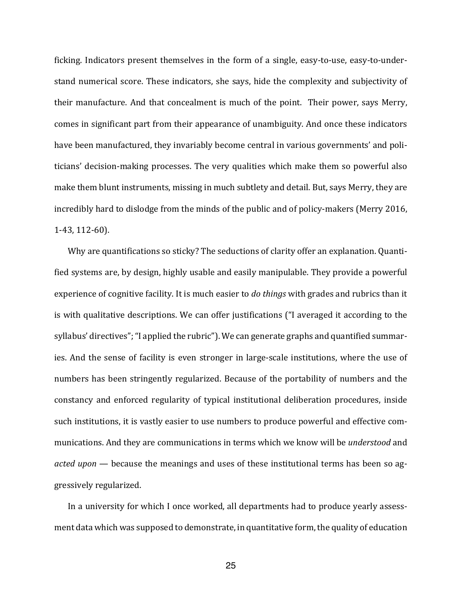ficking. Indicators present themselves in the form of a single, easy-to-use, easy-to-understand numerical score. These indicators, she says, hide the complexity and subjectivity of their manufacture. And that concealment is much of the point. Their power, says Merry, comes in significant part from their appearance of unambiguity. And once these indicators have been manufactured, they invariably become central in various governments' and politicians' decision-making processes. The very qualities which make them so powerful also make them blunt instruments, missing in much subtlety and detail. But, says Merry, they are incredibly hard to dislodge from the minds of the public and of policy-makers (Merry 2016, 1-43, 112-60).

Why are quantifications so sticky? The seductions of clarity offer an explanation. Quantified systems are, by design, highly usable and easily manipulable. They provide a powerful experience of cognitive facility. It is much easier to *do things* with grades and rubrics than it is with qualitative descriptions. We can offer justifications ("I averaged it according to the syllabus' directives"; "I applied the rubric"). We can generate graphs and quantified summaries. And the sense of facility is even stronger in large-scale institutions, where the use of numbers has been stringently regularized. Because of the portability of numbers and the constancy and enforced regularity of typical institutional deliberation procedures, inside such institutions, it is vastly easier to use numbers to produce powerful and effective communications. And they are communications in terms which we know will be *understood* and *acted upon* — because the meanings and uses of these institutional terms has been so aggressively regularized.

In a university for which I once worked, all departments had to produce yearly assessment data which was supposed to demonstrate, in quantitative form, the quality of education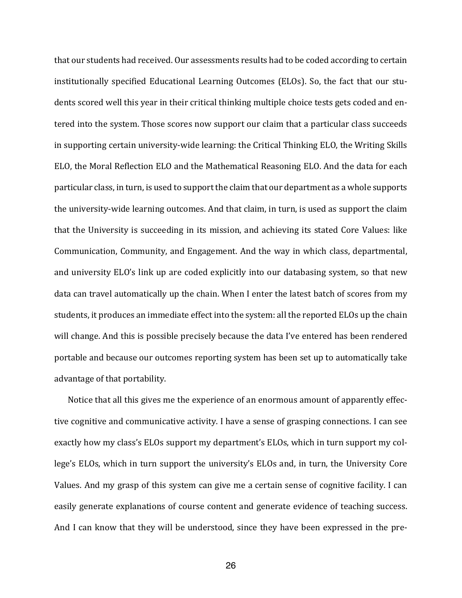that our students had received. Our assessments results had to be coded according to certain institutionally specified Educational Learning Outcomes (ELOs). So, the fact that our students scored well this year in their critical thinking multiple choice tests gets coded and entered into the system. Those scores now support our claim that a particular class succeeds in supporting certain university-wide learning: the Critical Thinking ELO, the Writing Skills ELO, the Moral Reflection ELO and the Mathematical Reasoning ELO. And the data for each particular class, in turn, is used to support the claim that our department as a whole supports the university-wide learning outcomes. And that claim, in turn, is used as support the claim that the University is succeeding in its mission, and achieving its stated Core Values: like Communication, Community, and Engagement. And the way in which class, departmental, and university ELO's link up are coded explicitly into our databasing system, so that new data can travel automatically up the chain. When I enter the latest batch of scores from my students, it produces an immediate effect into the system: all the reported ELOs up the chain will change. And this is possible precisely because the data I've entered has been rendered portable and because our outcomes reporting system has been set up to automatically take advantage of that portability.

Notice that all this gives me the experience of an enormous amount of apparently effective cognitive and communicative activity. I have a sense of grasping connections. I can see exactly how my class's ELOs support my department's ELOs, which in turn support my college's ELOs, which in turn support the university's ELOs and, in turn, the University Core Values. And my grasp of this system can give me a certain sense of cognitive facility. I can easily generate explanations of course content and generate evidence of teaching success. And I can know that they will be understood, since they have been expressed in the pre-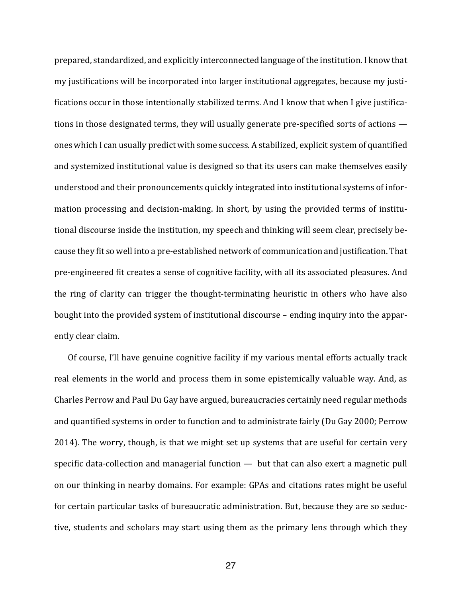prepared, standardized, and explicitly interconnected language of the institution. I know that my justifications will be incorporated into larger institutional aggregates, because my justifications occur in those intentionally stabilized terms. And I know that when I give justifications in those designated terms, they will usually generate pre-specified sorts of actions  $$ ones which I can usually predict with some success. A stabilized, explicit system of quantified and systemized institutional value is designed so that its users can make themselves easily understood and their pronouncements quickly integrated into institutional systems of information processing and decision-making. In short, by using the provided terms of institutional discourse inside the institution, my speech and thinking will seem clear, precisely because they fit so well into a pre-established network of communication and justification. That pre-engineered fit creates a sense of cognitive facility, with all its associated pleasures. And the ring of clarity can trigger the thought-terminating heuristic in others who have also bought into the provided system of institutional discourse - ending inquiry into the apparently clear claim.

Of course, I'll have genuine cognitive facility if my various mental efforts actually track real elements in the world and process them in some epistemically valuable way. And, as Charles Perrow and Paul Du Gay have argued, bureaucracies certainly need regular methods and quantified systems in order to function and to administrate fairly (Du Gay 2000; Perrow 2014). The worry, though, is that we might set up systems that are useful for certain very specific data-collection and managerial function  $-$  but that can also exert a magnetic pull on our thinking in nearby domains. For example: GPAs and citations rates might be useful for certain particular tasks of bureaucratic administration. But, because they are so seductive, students and scholars may start using them as the primary lens through which they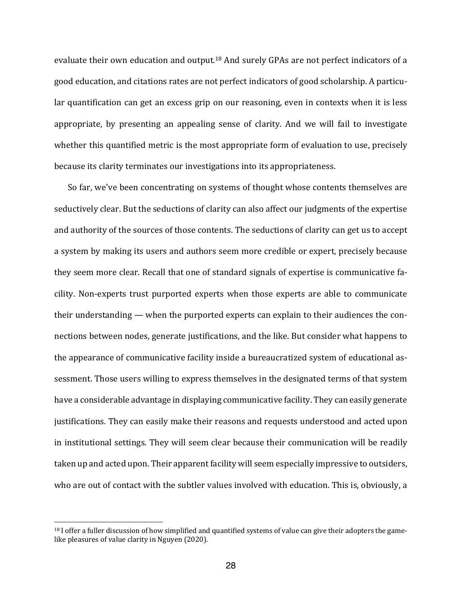evaluate their own education and output.<sup>18</sup> And surely GPAs are not perfect indicators of a good education, and citations rates are not perfect indicators of good scholarship. A particular quantification can get an excess grip on our reasoning, even in contexts when it is less appropriate, by presenting an appealing sense of clarity. And we will fail to investigate whether this quantified metric is the most appropriate form of evaluation to use, precisely because its clarity terminates our investigations into its appropriateness.

So far, we've been concentrating on systems of thought whose contents themselves are seductively clear. But the seductions of clarity can also affect our judgments of the expertise and authority of the sources of those contents. The seductions of clarity can get us to accept a system by making its users and authors seem more credible or expert, precisely because they seem more clear. Recall that one of standard signals of expertise is communicative facility. Non-experts trust purported experts when those experts are able to communicate their understanding  $-$  when the purported experts can explain to their audiences the connections between nodes, generate justifications, and the like. But consider what happens to the appearance of communicative facility inside a bureaucratized system of educational assessment. Those users willing to express themselves in the designated terms of that system have a considerable advantage in displaying communicative facility. They can easily generate justifications. They can easily make their reasons and requests understood and acted upon in institutional settings. They will seem clear because their communication will be readily taken up and acted upon. Their apparent facility will seem especially impressive to outsiders, who are out of contact with the subtler values involved with education. This is, obviously, a

 $18$  I offer a fuller discussion of how simplified and quantified systems of value can give their adopters the gamelike pleasures of value clarity in Nguyen (2020).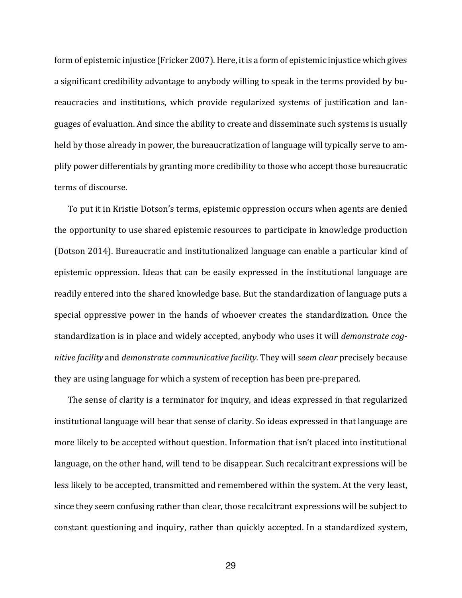form of epistemic injustice (Fricker 2007). Here, it is a form of epistemic injustice which gives a significant credibility advantage to anybody willing to speak in the terms provided by bureaucracies and institutions, which provide regularized systems of justification and languages of evaluation. And since the ability to create and disseminate such systems is usually held by those already in power, the bureaucratization of language will typically serve to amplify power differentials by granting more credibility to those who accept those bureaucratic terms of discourse.

To put it in Kristie Dotson's terms, epistemic oppression occurs when agents are denied the opportunity to use shared epistemic resources to participate in knowledge production (Dotson 2014). Bureaucratic and institutionalized language can enable a particular kind of epistemic oppression. Ideas that can be easily expressed in the institutional language are readily entered into the shared knowledge base. But the standardization of language puts a special oppressive power in the hands of whoever creates the standardization. Once the standardization is in place and widely accepted, anybody who uses it will *demonstrate cognitive* facility and *demonstrate communicative* facility. They will seem clear precisely because they are using language for which a system of reception has been pre-prepared.

The sense of clarity is a terminator for inquiry, and ideas expressed in that regularized institutional language will bear that sense of clarity. So ideas expressed in that language are more likely to be accepted without question. Information that isn't placed into institutional language, on the other hand, will tend to be disappear. Such recalcitrant expressions will be less likely to be accepted, transmitted and remembered within the system. At the very least, since they seem confusing rather than clear, those recalcitrant expressions will be subject to constant questioning and inquiry, rather than quickly accepted. In a standardized system,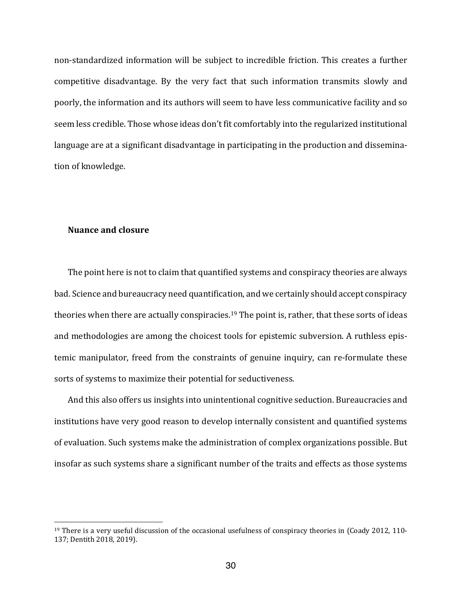non-standardized information will be subject to incredible friction. This creates a further competitive disadvantage. By the very fact that such information transmits slowly and poorly, the information and its authors will seem to have less communicative facility and so seem less credible. Those whose ideas don't fit comfortably into the regularized institutional language are at a significant disadvantage in participating in the production and dissemination of knowledge.

### **Nuance and closure**

The point here is not to claim that quantified systems and conspiracy theories are always bad. Science and bureaucracy need quantification, and we certainly should accept conspiracy theories when there are actually conspiracies.<sup>19</sup> The point is, rather, that these sorts of ideas and methodologies are among the choicest tools for epistemic subversion. A ruthless epistemic manipulator, freed from the constraints of genuine inquiry, can re-formulate these sorts of systems to maximize their potential for seductiveness.

And this also offers us insights into unintentional cognitive seduction. Bureaucracies and institutions have very good reason to develop internally consistent and quantified systems of evaluation. Such systems make the administration of complex organizations possible. But insofar as such systems share a significant number of the traits and effects as those systems

<sup>&</sup>lt;sup>19</sup> There is a very useful discussion of the occasional usefulness of conspiracy theories in (Coady 2012, 110-137; Dentith 2018, 2019).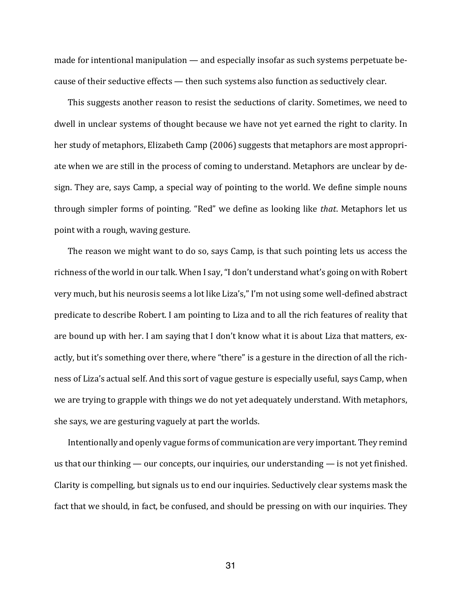made for intentional manipulation  $-$  and especially insofar as such systems perpetuate because of their seductive effects  $-$  then such systems also function as seductively clear.

This suggests another reason to resist the seductions of clarity. Sometimes, we need to dwell in unclear systems of thought because we have not yet earned the right to clarity. In her study of metaphors, Elizabeth Camp (2006) suggests that metaphors are most appropriate when we are still in the process of coming to understand. Metaphors are unclear by design. They are, says Camp, a special way of pointing to the world. We define simple nouns through simpler forms of pointing. "Red" we define as looking like *that*. Metaphors let us point with a rough, waving gesture.

The reason we might want to do so, says Camp, is that such pointing lets us access the richness of the world in our talk. When I say, "I don't understand what's going on with Robert very much, but his neurosis seems a lot like Liza's," I'm not using some well-defined abstract predicate to describe Robert. I am pointing to Liza and to all the rich features of reality that are bound up with her. I am saying that I don't know what it is about Liza that matters, exactly, but it's something over there, where "there" is a gesture in the direction of all the richness of Liza's actual self. And this sort of vague gesture is especially useful, says Camp, when we are trying to grapple with things we do not yet adequately understand. With metaphors, she says, we are gesturing vaguely at part the worlds.

Intentionally and openly vague forms of communication are very important. They remind us that our thinking  $-$  our concepts, our inquiries, our understanding  $-$  is not yet finished. Clarity is compelling, but signals us to end our inquiries. Seductively clear systems mask the fact that we should, in fact, be confused, and should be pressing on with our inquiries. They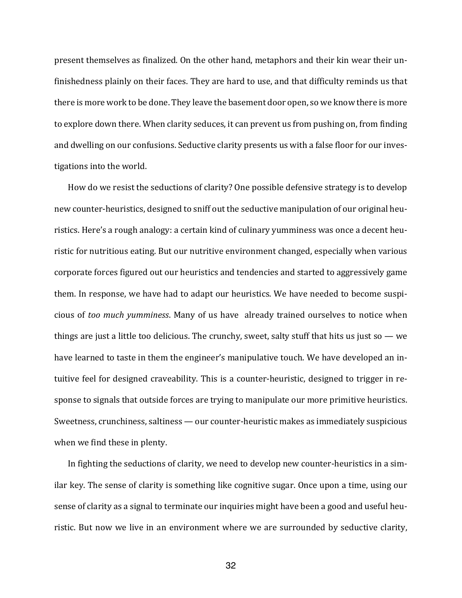present themselves as finalized. On the other hand, metaphors and their kin wear their unfinishedness plainly on their faces. They are hard to use, and that difficulty reminds us that there is more work to be done. They leave the basement door open, so we know there is more to explore down there. When clarity seduces, it can prevent us from pushing on, from finding and dwelling on our confusions. Seductive clarity presents us with a false floor for our investigations into the world.

How do we resist the seductions of clarity? One possible defensive strategy is to develop new counter-heuristics, designed to sniff out the seductive manipulation of our original heuristics. Here's a rough analogy: a certain kind of culinary yumminess was once a decent heuristic for nutritious eating. But our nutritive environment changed, especially when various corporate forces figured out our heuristics and tendencies and started to aggressively game them. In response, we have had to adapt our heuristics. We have needed to become suspicious of *too much yumminess*. Many of us have already trained ourselves to notice when things are just a little too delicious. The crunchy, sweet, salty stuff that hits us just so  $-$  we have learned to taste in them the engineer's manipulative touch. We have developed an intuitive feel for designed craveability. This is a counter-heuristic, designed to trigger in response to signals that outside forces are trying to manipulate our more primitive heuristics. Sweetness, crunchiness, saltiness — our counter-heuristic makes as immediately suspicious when we find these in plenty.

In fighting the seductions of clarity, we need to develop new counter-heuristics in a similar key. The sense of clarity is something like cognitive sugar. Once upon a time, using our sense of clarity as a signal to terminate our inquiries might have been a good and useful heuristic. But now we live in an environment where we are surrounded by seductive clarity,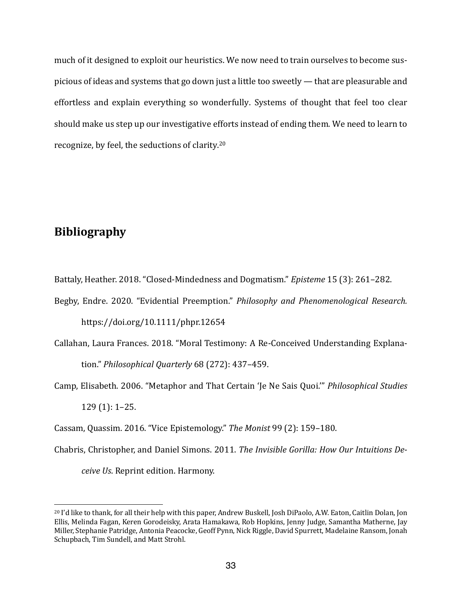much of it designed to exploit our heuristics. We now need to train ourselves to become suspicious of ideas and systems that go down just a little too sweetly — that are pleasurable and effortless and explain everything so wonderfully. Systems of thought that feel too clear should make us step up our investigative efforts instead of ending them. We need to learn to recognize, by feel, the seductions of clarity.<sup>20</sup>

# **Bibliography**

Battaly, Heather. 2018. "Closed-Mindedness and Dogmatism." *Episteme* 15 (3): 261–282.

- Begby, Endre. 2020. "Evidential Preemption." *Philosophy and Phenomenological Research.* https://doi.org/10.1111/phpr.12654
- Callahan, Laura Frances. 2018. "Moral Testimony: A Re-Conceived Understanding Explanation." Philosophical Quarterly 68 (272): 437-459.
- Camp, Elisabeth. 2006. "Metaphor and That Certain 'Je Ne Sais Quoi." *Philosophical Studies*  $129(1): 1-25.$
- Cassam, Quassim. 2016. "Vice Epistemology." The Monist 99 (2): 159-180.
- Chabris, Christopher, and Daniel Simons. 2011. *The Invisible Gorilla: How Our Intuitions Deceive Us.* Reprint edition. Harmony.

 $^{20}$  I'd like to thank, for all their help with this paper, Andrew Buskell, Josh DiPaolo, A.W. Eaton, Caitlin Dolan, Jon Ellis, Melinda Fagan, Keren Gorodeisky, Arata Hamakawa, Rob Hopkins, Jenny Judge, Samantha Matherne, Jay Miller, Stephanie Patridge, Antonia Peacocke, Geoff Pynn, Nick Riggle, David Spurrett, Madelaine Ransom, Jonah Schupbach, Tim Sundell, and Matt Strohl.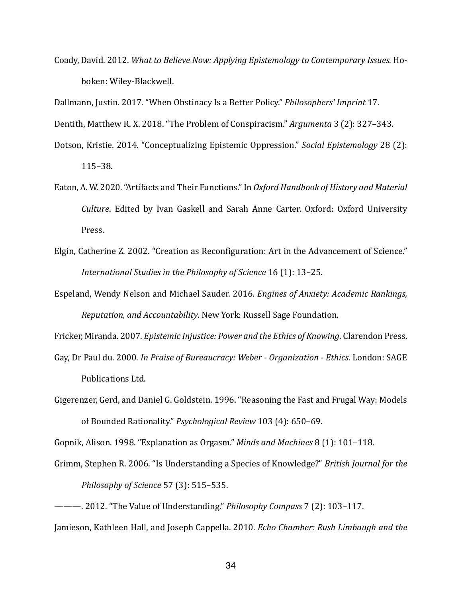Coady, David. 2012. *What to Believe Now: Applying Epistemology to Contemporary Issues.* Hoboken: Wiley-Blackwell.

Dallmann, Justin. 2017. "When Obstinacy Is a Better Policy." *Philosophers' Imprint* 17.

Dentith, Matthew R. X. 2018. "The Problem of Conspiracism." *Argumenta* 3 (2): 327-343.

- Dotson, Kristie. 2014. "Conceptualizing Epistemic Oppression." *Social Epistemology* 28 (2): 115–38.
- Eaton, A. W. 2020. "Artifacts and Their Functions." In *Oxford Handbook of History and Material Culture*. Edited by Ivan Gaskell and Sarah Anne Carter. Oxford: Oxford University Press.
- Elgin, Catherine Z. 2002. "Creation as Reconfiguration: Art in the Advancement of Science." *International Studies in the Philosophy of Science* 16 (1): 13-25.
- Espeland, Wendy Nelson and Michael Sauder. 2016. *Engines of Anxiety: Academic Rankings*, *Reputation, and Accountability*. New York: Russell Sage Foundation.

Fricker, Miranda. 2007. *Epistemic Injustice: Power and the Ethics of Knowing*. Clarendon Press.

- Gay, Dr Paul du. 2000. In Praise of Bureaucracy: Weber Organization Ethics. London: SAGE Publications Ltd.
- Gigerenzer, Gerd, and Daniel G. Goldstein. 1996. "Reasoning the Fast and Frugal Way: Models of Bounded Rationality." Psychological Review 103 (4): 650-69.

Gopnik, Alison. 1998. "Explanation as Orgasm." *Minds and Machines* 8 (1): 101–118.

- Grimm, Stephen R. 2006. "Is Understanding a Species of Knowledge?" *British Journal for the Philosophy of Science* 57 (3): 515–535.
- ———. 2012. "The Value of Understanding." *Philosophy Compass* 7 (2): 103-117.

Jamieson, Kathleen Hall, and Joseph Cappella. 2010. *Echo Chamber: Rush Limbaugh and the*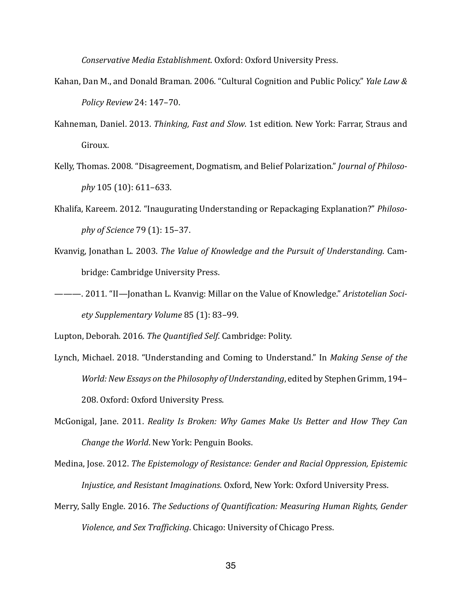*Conservative Media Establishment*. Oxford: Oxford University Press.

- Kahan, Dan M., and Donald Braman. 2006. "Cultural Cognition and Public Policy." *Yale Law & Policy Review* 24: 147–70.
- Kahneman, Daniel. 2013. *Thinking, Fast and Slow*. 1st edition. New York: Farrar, Straus and Giroux.
- Kelly, Thomas. 2008. "Disagreement, Dogmatism, and Belief Polarization." *Journal of Philosophy* 105 (10): 611–633.
- Khalifa, Kareem. 2012. "Inaugurating Understanding or Repackaging Explanation?" Philoso*phy of Science* 79 (1): 15-37.
- Kvanvig, Jonathan L. 2003. *The Value of Knowledge and the Pursuit of Understanding*. Cambridge: Cambridge University Press.
- --- 2011. "II—Jonathan L. Kvanvig: Millar on the Value of Knowledge." *Aristotelian Society Supplementary Volume* 85 (1): 83–99.

Lupton, Deborah. 2016. The Quantified Self. Cambridge: Polity.

- Lynch, Michael. 2018. "Understanding and Coming to Understand." In *Making Sense of the World: New Essays on the Philosophy of Understanding*, edited by Stephen Grimm, 194– 208. Oxford: Oxford University Press.
- McGonigal, Jane. 2011. *Reality Is Broken: Why Games Make Us Better and How They Can Change the World*. New York: Penguin Books.
- Medina, Jose. 2012. *The Epistemology of Resistance: Gender and Racial Oppression, Epistemic Injustice, and Resistant Imaginations.* Oxford, New York: Oxford University Press.
- Merry, Sally Engle. 2016. The Seductions of Quantification: Measuring Human Rights, Gender *Violence, and Sex Trafficking.* Chicago: University of Chicago Press.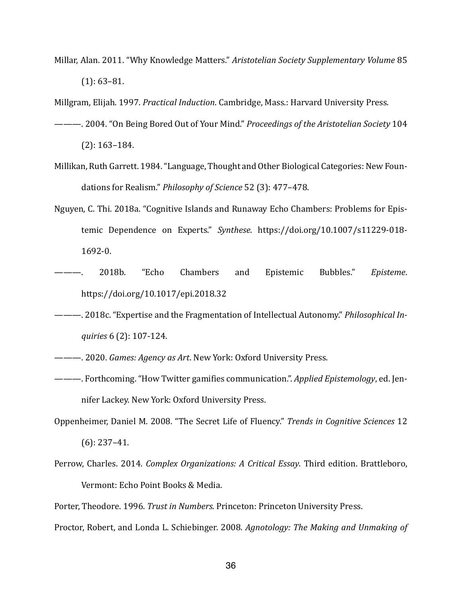Millar, Alan. 2011. "Why Knowledge Matters." Aristotelian Society Supplementary Volume 85  $(1): 63-81.$ 

Millgram, Elijah. 1997. *Practical Induction*. Cambridge, Mass.: Harvard University Press.

- ———. 2004. "On Being Bored Out of Your Mind." *Proceedings of the Aristotelian Society* 104  $(2): 163-184.$
- Millikan, Ruth Garrett. 1984. "Language, Thought and Other Biological Categories: New Foundations for Realism." *Philosophy of Science* 52 (3): 477-478.
- Nguyen, C. Thi. 2018a. "Cognitive Islands and Runaway Echo Chambers: Problems for Epistemic Dependence on Experts." *Synthese*. https://doi.org/10.1007/s11229-018- 1692-0.
- 2018b. "Echo Chambers and Epistemic Bubbles." *Episteme*. https://doi.org/10.1017/epi.2018.32
- ———. 2018c. "Expertise and the Fragmentation of Intellectual Autonomy." *Philosophical Inguiries* 6 (2): 107-124.
- ———. 2020. *Games: Agency as Art*. New York: Oxford University Press.
- ———. Forthcoming. "How Twitter gamifies communication.". *Applied Epistemology*, ed. Jennifer Lackey. New York: Oxford University Press.
- Oppenheimer, Daniel M. 2008. "The Secret Life of Fluency." *Trends in Cognitive Sciences* 12  $(6)$ : 237–41.
- Perrow, Charles. 2014. *Complex Organizations: A Critical Essay*. Third edition. Brattleboro, Vermont: Echo Point Books & Media.

Porter, Theodore. 1996. *Trust in Numbers*. Princeton: Princeton University Press.

Proctor, Robert, and Londa L. Schiebinger. 2008. *Agnotology: The Making and Unmaking of*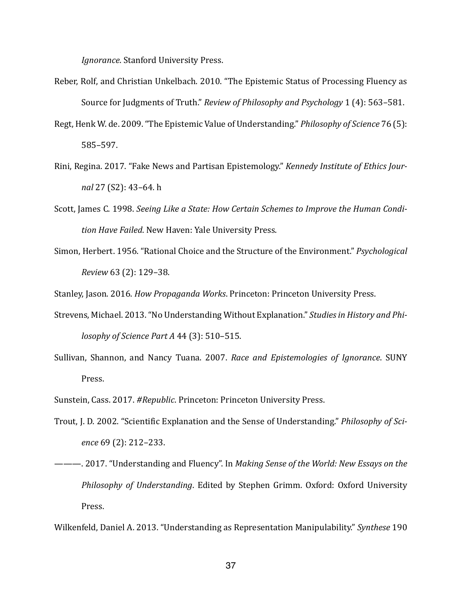*Ignorance.* Stanford University Press.

- Reber, Rolf, and Christian Unkelbach. 2010. "The Epistemic Status of Processing Fluency as Source for Judgments of Truth." *Review of Philosophy and Psychology* 1 (4): 563-581.
- Regt, Henk W. de. 2009. "The Epistemic Value of Understanding." *Philosophy of Science* 76 (5): 585–597.
- Rini, Regina. 2017. "Fake News and Partisan Epistemology." *Kennedy Institute of Ethics Journal* 27 (S2): 43-64. h
- Scott, James C. 1998. *Seeing Like a State: How Certain Schemes to Improve the Human Condi*tion Have Failed. New Haven: Yale University Press.
- Simon, Herbert. 1956. "Rational Choice and the Structure of the Environment." *Psychological Review* 63 (2): 129–38.

Stanley, Jason. 2016. *How Propaganda Works*. Princeton: Princeton University Press.

- Strevens, Michael. 2013. "No Understanding Without Explanation." Studies in History and Phi*losophy of Science Part A* 44 (3): 510-515.
- Sullivan, Shannon, and Nancy Tuana. 2007. *Race and Epistemologies of Ignorance*. SUNY Press.
- Sunstein, Cass. 2017. #Republic. Princeton: Princeton University Press.
- Trout, J. D. 2002. "Scientific Explanation and the Sense of Understanding." *Philosophy of Science* 69 (2): 212–233.
- ———. 2017. "Understanding and Fluency". In *Making Sense of the World: New Essays on the Philosophy of Understanding*. Edited by Stephen Grimm. Oxford: Oxford University Press.

Wilkenfeld, Daniel A. 2013. "Understanding as Representation Manipulability." Synthese 190